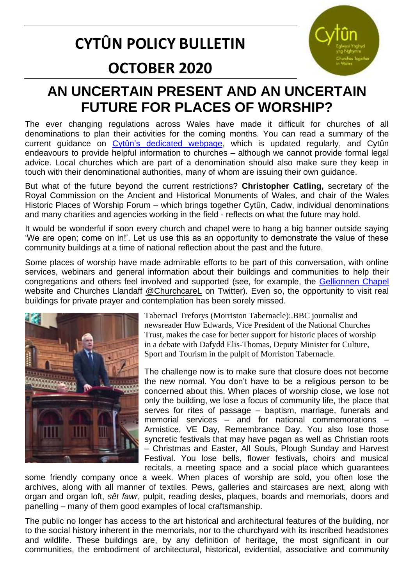## **CYTÛN POLICY BULLETIN**



# **OCTOBER 2020**

### **AN UNCERTAIN PRESENT AND AN UNCERTAIN FUTURE FOR PLACES OF WORSHIP?**

The ever changing regulations across Wales have made it difficult for churches of all denominations to plan their activities for the coming months. You can read a summary of the current guidance on [Cytûn's dedicated webpage,](http://www.cytun.co.uk/hafan/en/covid-19-briefing-paper/) which is updated regularly, and Cytûn endeavours to provide helpful information to churches – although we cannot provide formal legal advice. Local churches which are part of a denomination should also make sure they keep in touch with their denominational authorities, many of whom are issuing their own guidance.

But what of the future beyond the current restrictions? **Christopher Catling,** secretary of the Royal Commission on the Ancient and Historical Monuments of Wales, and chair of the Wales Historic Places of Worship Forum – which brings together Cytûn, Cadw, individual denominations and many charities and agencies working in the field - reflects on what the future may hold.

It would be wonderful if soon every church and chapel were to hang a big banner outside saying 'We are open; come on in!'. Let us use this as an opportunity to demonstrate the value of these community buildings at a time of national reflection about the past and the future.

Some places of worship have made admirable efforts to be part of this conversation, with online services, webinars and general information about their buildings and communities to help their congregations and others feel involved and supported (see, for example, the [Gellionnen Chapel](https://gellionnen.com/) website and Churches Llandaff [@ChurchcareL](https://twitter.com/ChurchcareL) on Twitter). Even so, the opportunity to visit real buildings for private prayer and contemplation has been sorely missed.



Tabernacl Treforys (Morriston Tabernacle):.BBC journalist and newsreader Huw Edwards, Vice President of the National Churches Trust, makes the case for better support for historic places of worship in a debate with Dafydd Elis-Thomas, Deputy Minister for Culture, Sport and Tourism in the pulpit of Morriston Tabernacle.

The challenge now is to make sure that closure does not become the new normal. You don't have to be a religious person to be concerned about this. When places of worship close, we lose not only the building, we lose a focus of community life, the place that serves for rites of passage – baptism, marriage, funerals and memorial services – and for national commemorations – Armistice, VE Day, Remembrance Day. You also lose those syncretic festivals that may have pagan as well as Christian roots – Christmas and Easter, All Souls, Plough Sunday and Harvest Festival. You lose bells, flower festivals, choirs and musical recitals, a meeting space and a social place which guarantees

some friendly company once a week. When places of worship are sold, you often lose the archives, along with all manner of textiles. Pews, galleries and staircases are next, along with organ and organ loft, *sêt fawr*, pulpit, reading desks, plaques, boards and memorials, doors and panelling – many of them good examples of local craftsmanship.

The public no longer has access to the art historical and architectural features of the building, nor to the social history inherent in the memorials, nor to the churchyard with its inscribed headstones and wildlife. These buildings are, by any definition of heritage, the most significant in our communities, the embodiment of architectural, historical, evidential, associative and community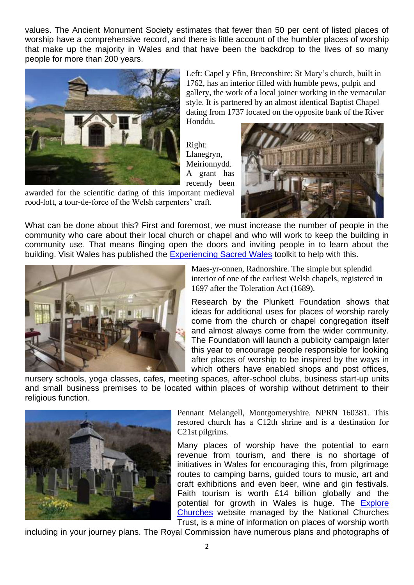values. The Ancient Monument Society estimates that fewer than 50 per cent of listed places of worship have a comprehensive record, and there is little account of the humbler places of worship that make up the majority in Wales and that have been the backdrop to the lives of so many people for more than 200 years.



Left: Capel y Ffin, Breconshire: St Mary's church, built in 1762, has an interior filled with humble pews, pulpit and gallery, the work of a local joiner working in the vernacular style. It is partnered by an almost identical Baptist Chapel dating from 1737 located on the opposite bank of the River Honddu.

Right: Llanegryn, Meirionnydd. A grant has recently been

awarded for the scientific dating of this important medieval rood-loft, a tour-de-force of the Welsh carpenters' craft.



What can be done about this? First and foremost, we must increase the number of people in the community who care about their local church or chapel and who will work to keep the building in community use. That means flinging open the doors and inviting people in to learn about the building. Visit Wales has published the [Experiencing Sacred Wales](https://www.explorechurches.org/experiencing-sacred-wales) toolkit to help with this.



Maes-yr-onnen, Radnorshire. The simple but splendid interior of one of the earliest Welsh chapels, registered in 1697 after the Toleration Act (1689).

Research by the [Plunkett Foundation](https://plunkett.co.uk/) shows that ideas for additional uses for places of worship rarely come from the church or chapel congregation itself and almost always come from the wider community. The Foundation will launch a publicity campaign later this year to encourage people responsible for looking after places of worship to be inspired by the ways in which others have enabled shops and post offices,

nursery schools, yoga classes, cafes, meeting spaces, after-school clubs, business start-up units and small business premises to be located within places of worship without detriment to their religious function.



Pennant Melangell, Montgomeryshire. NPRN 160381. This restored church has a C12th shrine and is a destination for C21st pilgrims.

Many places of worship have the potential to earn revenue from tourism, and there is no shortage of initiatives in Wales for encouraging this, from pilgrimage routes to camping barns, guided tours to music, art and craft exhibitions and even beer, wine and gin festivals. Faith tourism is worth £14 billion globally and the potential for growth in Wales is huge. The [Explore](https://www.explorechurches.org/)  [Churches](https://www.explorechurches.org/) website managed by the National Churches Trust, is a mine of information on places of worship worth

including in your journey plans. The Royal Commission have numerous plans and photographs of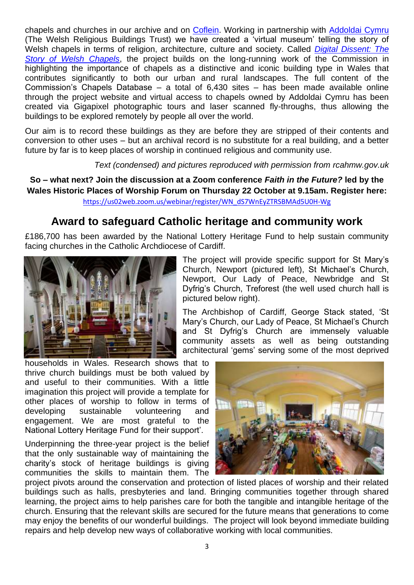chapels and churches in our archive and on [Coflein.](https://www.coflein.gov.uk/en/) Working in partnership with [Addoldai Cymru](http://www.welshchapels.org/) (The Welsh Religious Buildings Trust) we have created a 'virtual museum' telling the story of Welsh chapels in terms of religion, architecture, culture and society. Called *[Digital Dissent: The](https://rcahmw.gov.uk/discover/chapels/)  [Story of Welsh Chapels](https://rcahmw.gov.uk/discover/chapels/)*, the project builds on the long-running work of the Commission in highlighting the importance of chapels as a distinctive and iconic building type in Wales that contributes significantly to both our urban and rural landscapes. The full content of the Commission's Chapels Database – a total of 6,430 sites – has been made available online through the project website and virtual access to chapels owned by Addoldai Cymru has been created via Gigapixel photographic tours and laser scanned fly-throughs, thus allowing the buildings to be explored remotely by people all over the world.

Our aim is to record these buildings as they are before they are stripped of their contents and conversion to other uses – but an archival record is no substitute for a real building, and a better future by far is to keep places of worship in continued religious and community use.

*Text (condensed) and pictures reproduced with permission from rcahmw.gov.uk* 

**So – what next? Join the discussion at a Zoom conference** *Faith in the Future?* **led by the Wales Historic Places of Worship Forum on Thursday 22 October at 9.15am. Register here:**  [https://us02web.zoom.us/webinar/register/WN\\_dS7WnEyZTRSBMAd5U0H-Wg](https://us02web.zoom.us/webinar/register/WN_dS7WnEyZTRSBMAd5U0H-Wg)

#### **Award to safeguard Catholic heritage and community work**

£186,700 has been awarded by the National Lottery Heritage Fund to help sustain community facing churches in the Catholic Archdiocese of Cardiff.



households in Wales. Research shows that to thrive church buildings must be both valued by and useful to their communities. With a little imagination this project will provide a template for other places of worship to follow in terms of developing sustainable volunteering and engagement. We are most grateful to the National Lottery Heritage Fund for their support'.

Underpinning the three-year project is the belief that the only sustainable way of maintaining the charity's stock of heritage buildings is giving communities the skills to maintain them. The

The project will provide specific support for St Mary's Church, Newport (pictured left), St Michael's Church, Newport, Our Lady of Peace, Newbridge and St Dyfrig's Church, Treforest (the well used church hall is pictured below right).

The Archbishop of Cardiff, George Stack stated, 'St Mary's Church, our Lady of Peace, St Michael's Church and St Dyfrig's Church are immensely valuable community assets as well as being outstanding architectural 'gems' serving some of the most deprived



project pivots around the conservation and protection of listed places of worship and their related buildings such as halls, presbyteries and land. Bringing communities together through shared learning, the project aims to help parishes care for both the tangible and intangible heritage of the church. Ensuring that the relevant skills are secured for the future means that generations to come may enjoy the benefits of our wonderful buildings. The project will look beyond immediate building repairs and help develop new ways of collaborative working with local communities.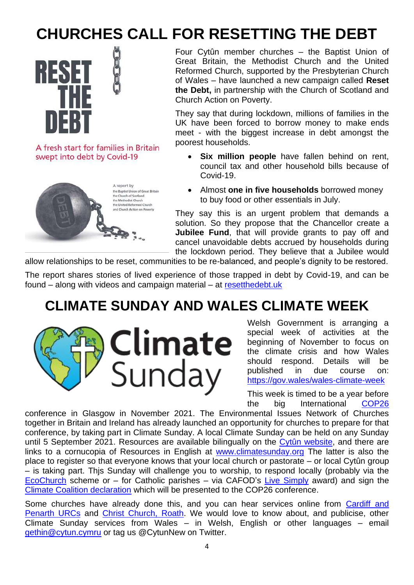# **CHURCHES CALL FOR RESETTING THE DEBT**



A fresh start for families in Britain swept into debt by Covid-19



Four Cytûn member churches – the Baptist Union of Great Britain, the Methodist Church and the United Reformed Church, supported by the Presbyterian Church of Wales – have launched a new campaign called **Reset the Debt,** in partnership with the Church of Scotland and Church Action on Poverty.

They say that during lockdown, millions of families in the UK have been forced to borrow money to make ends meet - with the biggest increase in debt amongst the poorest households.

- **Six million people** have fallen behind on rent, council tax and other household bills because of Covid-19.
- Almost **one in five households** borrowed money to buy food or other essentials in July.

They say this is an urgent problem that demands a solution. So they propose that the Chancellor create a **Jubilee Fund**, that will provide grants to pay off and cancel unavoidable debts accrued by households during the lockdown period. They believe that a Jubilee would

allow relationships to be reset, communities to be re-balanced, and people's dignity to be restored.

The report shares stories of lived experience of those trapped in debt by Covid-19, and can be found – along with videos and campaign material – at [resetthedebt.uk](https://resetthedebt.uk/?utm_source=JPIT&utm_medium=email&utm_campaign=11868644_Reset%20The%20Debt%20-%20Launch&dm_i=1MV9%2C72DWK%2C97YUKM%2CSJ8JN%2C1)

#### **CLIMATE SUNDAY AND WALES CLIMATE WEEK**



Welsh Government is arranging a special week of activities at the beginning of November to focus on the climate crisis and how Wales should respond. Details will be published in due course on: <https://gov.wales/wales-climate-week>

This week is timed to be a year before the big International [COP26](https://www.ukcop26.org/)

conference in Glasgow in November 2021. The Environmental Issues Network of Churches together in Britain and Ireland has already launched an opportunity for churches to prepare for that conference, by taking part in Climate Sunday. A local Climate Sunday can be held on any Sunday until 5 September 2021. Resources are available bilingually on the [Cytûn website,](http://www.cytun.co.uk/hafan/en/climate-sunday/) and there are links to a cornucopia of Resources in English at [www.climatesunday.org](http://www.climatesunday.org/) The latter is also the place to register so that everyone knows that your local church or pastorate – or local Cytûn group – is taking part. Thjs Sunday will challenge you to worship, to respond locally (probably via the [EcoChurch](https://ecochurch.arocha.org.uk/) scheme or – for Catholic parishes – via CAFOD's [Live Simply](https://cafod.org.uk/Campaign/Livesimply-award) award) and sign the [Climate Coalition declaration](https://www.theclimatecoalition.org/declaration) which will be presented to the COP26 conference.

Some churches have already done this, and you can hear services online from Cardiff and [Penarth URCs](https://www.mixcloud.com/cardiffurcs/climate-sunday-worship-20th-september-2020/?utm_campaign=notification_new_upload&utm_medium=email&utm_source=notification&utm_content=html) and Christ [Church, Roath.](https://soundcloud.com/christchurchcardiff/podchurch-service-6-september-2020) We would love to know about, and publicise, other Climate Sunday services from Wales – in Welsh, English or other languages – email [gethin@cytun.cymru](mailto:gethin@cytun.cymru) or tag us @CytunNew on Twitter.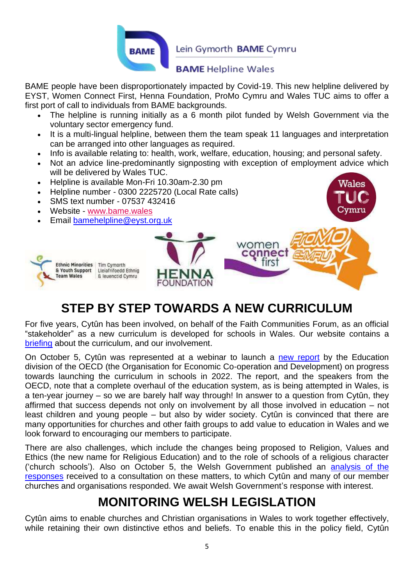

Lein Gymorth **BAME** Cymru

#### **BAME Helpline Wales**

BAME people have been disproportionately impacted by Covid-19. This new helpline delivered by EYST, Women Connect First, Henna Foundation, ProMo Cymru and Wales TUC aims to offer a first port of call to individuals from BAME backgrounds.

- The helpline is running initially as a 6 month pilot funded by Welsh Government via the voluntary sector emergency fund.
- It is a multi-lingual helpline, between them the team speak 11 languages and interpretation can be arranged into other languages as required.
- Info is available relating to: health, work, welfare, education, housing; and personal safety.
- Not an advice line-predominantly signposting with exception of employment advice which will be delivered by Wales TUC.
- Helpline is available Mon-Fri 10.30am-2.30 pm
- Helpline number 0300 2225720 (Local Rate calls)
- SMS text number 07537 432416
- Website [www.bame.wales](https://eur01.safelinks.protection.outlook.com/?url=http%3A%2F%2Fwww.bame.wales%2F&data=02%7C01%7CRobin.Grossmann%40gov.wales%7C9792eed7a69447acccc208d8690ea115%7Ca2cc36c592804ae78887d06dab89216b%7C0%7C0%7C637374858839756626&sdata=4%2BE2KjLGorF6ANWd%2BzrV%2FDy7VdCuMakxt2mGx0ktyH8%3D&reserved=0)
- Email [bamehelpline@eyst.org.uk](mailto:bamehelpline@eyst.org.uk)



#### **STEP BY STEP TOWARDS A NEW CURRICULUM**

For five years, Cytûn has been involved, on behalf of the Faith Communities Forum, as an official "stakeholder" as a new curriculum is developed for schools in Wales. Our website contains a [briefing](http://www.cytun.co.uk/hafan/en/briefing-on-the-curriculum-24-8-20/) about the curriculum, and our involvement.

On October 5, Cytûn was represented at a webinar to launch a [new report](http://www.oecd.org/publications/achieving-the-new-curriculum-for-wales-4b483953-en.htm) by the Education division of the OECD (the Organisation for Economic Co-operation and Development) on progress towards launching the curriculum in schools in 2022. The report, and the speakers from the OECD, note that a complete overhaul of the education system, as is being attempted in Wales, is a ten-year journey – so we are barely half way through! In answer to a question from Cytûn, they affirmed that success depends not only on involvement by all those involved in education – not least children and young people – but also by wider society. Cytûn is convinced that there are many opportunities for churches and other faith groups to add value to education in Wales and we look forward to encouraging our members to participate.

There are also challenges, which include the changes being proposed to Religion, Values and Ethics (the new name for Religious Education) and to the role of schools of a religious character ('church schools'). Also on October 5, the Welsh Government published an **[analysis](https://gov.wales/legislative-proposals-religion-values-and-ethics) of the** [responses](https://gov.wales/legislative-proposals-religion-values-and-ethics) received to a consultation on these matters, to which Cytûn and many of our member churches and organisations responded. We await Welsh Government's response with interest.

#### **MONITORING WELSH LEGISLATION**

Cytûn aims to enable churches and Christian organisations in Wales to work together effectively, while retaining their own distinctive ethos and beliefs. To enable this in the policy field, Cytûn